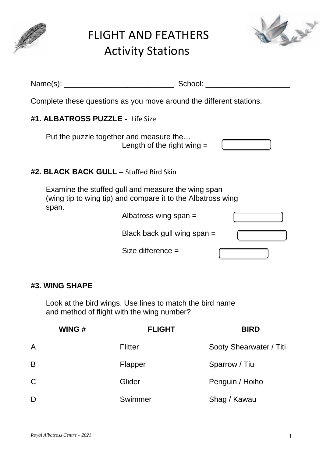

# FLIGHT AND FEATHERS Activity Stations



| Name $(s)$ :<br><u> 1980 - Jan Barbarat, manala</u>                                                               | School:                       |
|-------------------------------------------------------------------------------------------------------------------|-------------------------------|
| Complete these questions as you move around the different stations.                                               |                               |
| #1. ALBATROSS PUZZLE - Life Size                                                                                  |                               |
| Put the puzzle together and measure the                                                                           | Length of the right wing $=$  |
| #2. BLACK BACK GULL - Stuffed Bird Skin                                                                           |                               |
| Examine the stuffed gull and measure the wing span<br>(wing tip to wing tip) and compare it to the Albatross wing |                               |
| span.<br>Albatross wing span $=$                                                                                  |                               |
|                                                                                                                   | Black back gull wing span $=$ |
| Size difference $=$                                                                                               |                               |
|                                                                                                                   |                               |

## **#3. WING SHAPE**

Look at the bird wings. Use lines to match the bird name and method of flight with the wing number?

|    | WING# | <b>FLIGHT</b>  | <b>BIRD</b>             |
|----|-------|----------------|-------------------------|
| A  |       | <b>Flitter</b> | Sooty Shearwater / Titi |
| B  |       | Flapper        | Sparrow / Tiu           |
| C. |       | Glider         | Penguin / Hoiho         |
| D  |       | Swimmer        | Shag / Kawau            |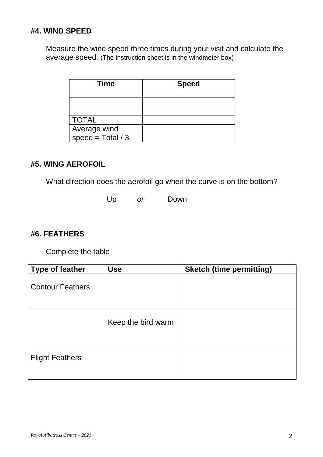## **#4. WIND SPEED**

Measure the wind speed three times during your visit and calculate the average speed. (The instruction sheet is in the windmeter box)

| <b>Time</b>           | <b>Speed</b> |
|-----------------------|--------------|
|                       |              |
|                       |              |
|                       |              |
| <b>TOTAL</b>          |              |
| Average wind          |              |
| speed = $Total / 3$ . |              |

## **#5. WING AEROFOIL**

What direction does the aerofoil go when the curve is on the bottom?

Up *or* Down

### **#6. FEATHERS**

Complete the table

| <b>Type of feather</b>  | <b>Use</b>         | <b>Sketch (time permitting)</b> |
|-------------------------|--------------------|---------------------------------|
| <b>Contour Feathers</b> |                    |                                 |
|                         | Keep the bird warm |                                 |
| <b>Flight Feathers</b>  |                    |                                 |